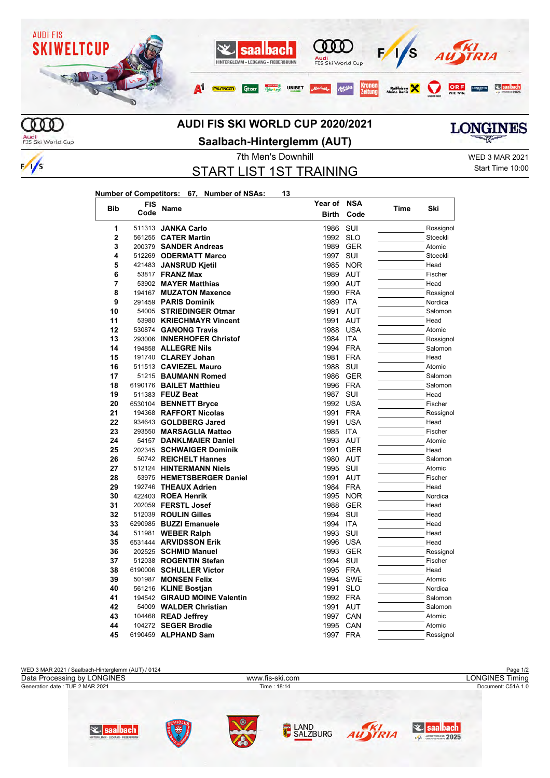

## **AUDI FIS SKI WORLD CUP 2020/2021**

Audi<br>FIS Ski World Cup

 $\frac{1}{s}$ 

**Saalbach-Hinterglemm (AUT)**

**LONGINES** 

START LIST 1ST TRAINING

7th Men's Downhill WED 3 MAR 2021 Start Time 10:00

## **Number of Competitors: 67, Number of NSAs: 13**

| <b>Bib</b>     | <b>FIS</b> | Name                                         | Year of      | NSA               | Time | Ski          |
|----------------|------------|----------------------------------------------|--------------|-------------------|------|--------------|
|                | Code       |                                              | <b>Birth</b> | Code              |      |              |
| 1              | 511313     | <b>JANKA Carlo</b>                           | 1986         | SUI               |      | Rossignol    |
| $\overline{2}$ |            | 561255 CATER Martin                          | 1992         | <b>SLO</b>        |      | Stoeckli     |
| 3              |            | 200379 SANDER Andreas                        | 1989         | <b>GER</b>        |      | Atomic       |
| 4              |            | 512269 ODERMATT Marco                        | 1997         | SUI               |      | Stoeckli     |
| 5              |            | 421483 JANSRUD Kjetil                        | 1985         | <b>NOR</b>        |      | Head         |
| 6              |            | 53817 <b>FRANZ Max</b>                       | 1989 AUT     |                   |      | Fischer      |
| 7              |            | 53902 MAYER Matthias                         | 1990 AUT     |                   |      | Head         |
| 8              |            | 194167 MUZATON Maxence                       | 1990         | <b>FRA</b>        |      | Rossignol    |
| 9              |            | 291459 PARIS Dominik                         | 1989         | ITA               |      | Nordica      |
| 10             |            | 54005 STRIEDINGER Otmar                      | 1991         | <b>AUT</b>        |      | Salomon      |
| 11             |            | 53980 KRIECHMAYR Vincent                     | 1991         | <b>AUT</b>        |      | Head         |
| 12             |            | 530874 GANONG Travis                         | 1988         | <b>USA</b>        |      | Atomic       |
| 13             |            | 293006 INNERHOFER Christof                   | 1984         | <b>ITA</b>        |      | Rossignol    |
| 14             |            | 194858 ALLEGRE Nils                          | 1994         | <b>FRA</b>        |      | Salomon      |
| 15             |            | 191740 CLAREY Johan                          | 1981         | <b>FRA</b>        |      | Head         |
| 16             |            | 511513 CAVIEZEL Mauro                        | 1988         | SUI               |      | Atomic       |
| 17             |            | 51215 BAUMANN Romed                          | 1986         | <b>GER</b>        |      | Salomon      |
| 18             |            | 6190176 BAILET Matthieu                      | 1996         | <b>FRA</b>        |      | Salomon      |
| 19             |            | 511383 FEUZ Beat                             | 1987         | SUI               |      | Head         |
| 20             |            | 6530104 BENNETT Bryce                        | 1992         | <b>USA</b>        |      | Fischer      |
| 21             |            | 194368 RAFFORT Nicolas                       | 1991         | <b>FRA</b>        |      | Rossignol    |
| 22             |            | 934643 GOLDBERG Jared                        | 1991         | <b>USA</b>        |      | Head         |
| 23             |            | 293550 MARSAGLIA Matteo                      | 1985         | <b>ITA</b>        |      | Fischer      |
| 24             |            | 54157 DANKLMAIER Daniel                      | 1993         | <b>AUT</b>        |      | Atomic       |
| 25             |            | 202345 SCHWAIGER Dominik                     | 1991         | <b>GER</b>        |      | Head         |
| 26             |            | 50742 REICHELT Hannes                        | 1980         | AUT               |      | Salomon      |
| 27             |            | 512124 HINTERMANN Niels                      | 1995         | SUI               |      | Atomic       |
| 28             |            | 53975 HEMETSBERGER Daniel                    | 1991         | AUT               |      | Fischer      |
| 29             |            | 192746 THEAUX Adrien                         | 1984         | <b>FRA</b>        |      | Head         |
| 30             |            | 422403 ROEA Henrik                           | 1995         | <b>NOR</b>        |      | Nordica      |
| 31             |            | 202059 FERSTL Josef                          | 1988         | <b>GER</b>        |      | Head         |
| 32<br>33       |            | 512039 ROULIN Gilles                         | 1994<br>1994 | SUI<br><b>ITA</b> |      | Head<br>Head |
| 34             |            | 6290985 BUZZI Emanuele<br>511981 WEBER Ralph | 1993         | SUI               |      | Head         |
| 35             |            | 6531444 ARVIDSSON Erik                       | 1996         | <b>USA</b>        |      | Head         |
| 36             |            | 202525 SCHMID Manuel                         | 1993         | <b>GER</b>        |      | Rossignol    |
| 37             |            | 512038 ROGENTIN Stefan                       | 1994         | SUI               |      | Fischer      |
| 38             |            | 6190006 SCHULLER Victor                      | 1995         | <b>FRA</b>        |      | Head         |
| 39             |            | 501987 MONSEN Felix                          | 1994         | <b>SWE</b>        |      | Atomic       |
| 40             |            | 561216 KLINE Bostjan                         | 1991         | <b>SLO</b>        |      | Nordica      |
| 41             |            | 194542 GIRAUD MOINE Valentin                 | 1992         | <b>FRA</b>        |      | Salomon      |
| 42             |            | 54009 WALDER Christian                       | 1991         | AUT               |      | Salomon      |
| 43             |            | 104468 READ Jeffrey                          | 1997         | CAN               |      | Atomic       |
| 44             |            | 104272 SEGER Brodie                          | 1995         | CAN               |      | Atomic       |
| 45             |            | 6190459 ALPHAND Sam                          | 1997         | <b>FRA</b>        |      | Rossignol    |
|                |            |                                              |              |                   |      |              |